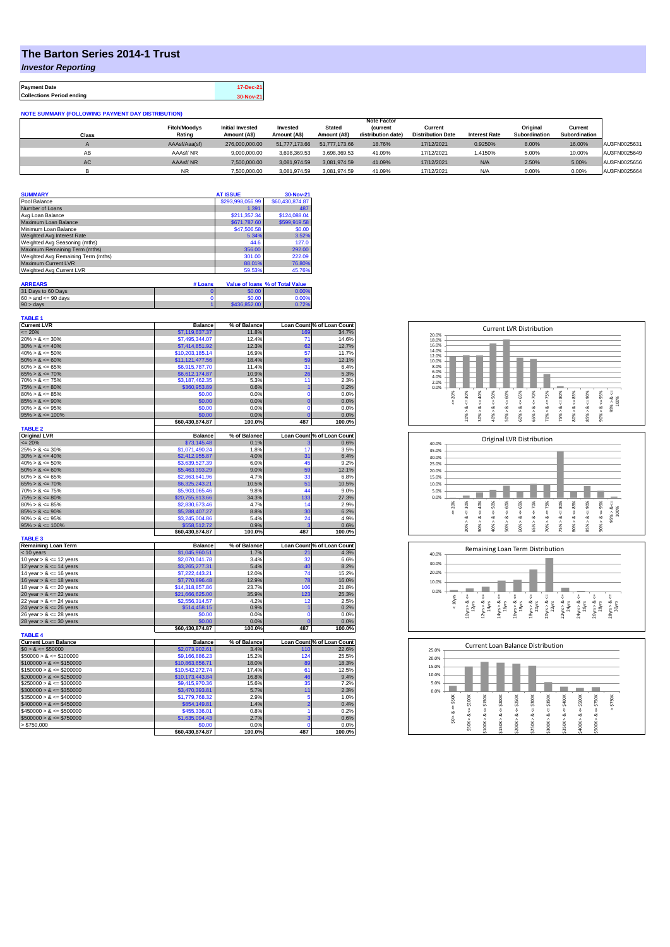## **The Barton Series 2014-1 Trust**

*Investor Reporting*

**Payment Date 17-Dec-21 Collections Period ending 30-Nov-21**

**NOTE SUMMARY (FOLLOWING PAYMENT DAY DISTRIBUTION)**

|           | <b>Note Factor</b>  |                         |               |               |                    |                          |                      |               |               |              |
|-----------|---------------------|-------------------------|---------------|---------------|--------------------|--------------------------|----------------------|---------------|---------------|--------------|
|           | <b>Fitch/Moodys</b> | <b>Initial Invested</b> | Invested      | <b>Stated</b> | <b>(current</b>    | Current                  |                      | Original      | Current       |              |
| Class     | Rating              | Amount (A\$)            | Amount (A\$)  | Amount (A\$)  | distribution date) | <b>Distribution Date</b> | <b>Interest Rate</b> | Subordination | Subordination |              |
|           | AAAsf/Aaa(sf)       | 276.000.000.00          | 51,777,173,66 | 51,777,173,66 | 18.76%             | 17/12/2021               | 0.9250%              | 8.00%         | 16.00%        | AU3FN0025631 |
| AB        | AAAsf/NR            | 9.000.000.00            | 3.698.369.53  | 3.698.369.53  | 41.09%             | 17/12/2021               | 1.4150%              | 5.00%         | 10.00%        | AU3FN0025649 |
| <b>AC</b> | AAAsf/NR            | 7,500,000.00            | 3.081.974.59  | 3.081.974.59  | 41.09%             | 17/12/2021               | N/A                  | 2.50%         | 5.00%         | AU3FN0025656 |
|           | NR.                 | 7.500.000.00            | 3.081.974.59  | 3.081.974.59  | 41.09%             | 17/12/2021               | N/A                  | 0.00%         | 0.00%         | AU3FN0025664 |

| <b>SUMMARY</b>                     | <b>AT ISSUE</b>  | 30-Nov-21       |
|------------------------------------|------------------|-----------------|
| Pool Balance                       | \$293,998,056.99 | \$60,430,874.87 |
| Number of Loans                    | 1.391            | 487             |
| Avg Loan Balance                   | \$211,357.34     | \$124,088.04    |
| Maximum Loan Balance               | \$671,787.60     | \$599,919.58    |
| Minimum Loan Balance               | \$47,506.58      | \$0.00          |
| Weighted Avg Interest Rate         | 5.34%            | 3.52%           |
| Weighted Avg Seasoning (mths)      | 44.6             | 127.0           |
| Maximum Remaining Term (mths)      | 356.00           | 292.00          |
| Weighted Avg Remaining Term (mths) | 301.00           | 222.09          |
| Maximum Current LVR                | 88.01%           | 76.80%          |
| Weighted Avg Current LVR           | 59.53%           | 45.76%          |

| <b>ARREARS</b>            | # Loans |              | Value of Ioans % of Total Value |
|---------------------------|---------|--------------|---------------------------------|
| 31 Days to 60 Days        |         | \$0.00       | 0.00%                           |
| $60 >$ and $\leq 90$ days |         | \$0.00       | 0.00%                           |
| $90 >$ days               |         | \$436,852.00 | 0.72%                           |

| TABLE 1                     |                 |              |                |                            |
|-----------------------------|-----------------|--------------|----------------|----------------------------|
| <b>Current LVR</b>          | <b>Balance</b>  | % of Balance |                | Loan Count % of Loan Count |
| $= 20%$                     | \$7,119,637.37  | 11.8%        | 169            | 34.7%                      |
| $20\% > 8 \le 30\%$         | \$7,495,344.07  | 12.4%        | 71             | 14.6%                      |
| $30\% > 8 \le 40\%$         | \$7,414,851.92  | 12.3%        | 62             | 12.7%                      |
| $40\% > 8 \le 50\%$         | \$10,203,185.14 | 16.9%        | 57             | 11.7%                      |
| $50\% > 8 \le 60\%$         | \$11,121,477.56 | 18.4%        | 59             | 12.1%                      |
| $60\% > 8 \le 65\%$         | \$6,915,787.70  | 11.4%        | 31             | 6.4%                       |
| $65\% > 8 \le 70\%$         | \$6,612,174.87  | 10.9%        | 26             | 5.3%                       |
| $70\% > 8 \le 75\%$         | \$3,187,462.35  | 5.3%         | 11             | 2.3%                       |
| $75\% > 8 \le 80\%$         | \$360,953.89    | 0.6%         | $\overline{1}$ | 0.2%                       |
| $80\% > 8 \le 85\%$         | \$0.00          | 0.0%         | 0              | 0.0%                       |
| $85\% > 8 \le 90\%$         | \$0.00          | 0.0%         | $\overline{0}$ | 0.0%                       |
| $90\% > 8 \le 95\%$         | \$0.00          | 0.0%         | $\overline{0}$ | 0.0%                       |
| $95\% > 8 \le 100\%$        | \$0.00          | 0.0%         | $\overline{0}$ | 0.0%                       |
|                             | \$60,430,874.87 | 100.0%       | 487            | 100.0%                     |
| <b>TABLE 2</b>              |                 |              |                |                            |
| <b>Original LVR</b>         | <b>Balance</b>  | % of Balance |                | Loan Count % of Loan Count |
| $= 20%$                     | \$73,145.48     | 0.1%         | 3              | 0.6%                       |
| $25\% > 8 \le 30\%$         | \$1,071,490.24  | 1.8%         | 17             | 3.5%                       |
| $30\% > 8 \le 40\%$         | \$2,412,955.87  | 4.0%         | 31             | 6.4%                       |
| $40\% > 8 \le 50\%$         | \$3,639,527.39  | 6.0%         | 45             | 9.2%                       |
| $50\% > 8 \le 60\%$         | \$5,463,393.29  | 9.0%         | 59             | 12.1%                      |
| $60\% > 8 \le 65\%$         | \$2,863,641.96  | 4.7%         | 33             | 6.8%                       |
| $65\% > 8 \le 70\%$         | \$6,325,243.21  | 10.5%        | 51             | 10.5%                      |
| $70\% > 8 \le 75\%$         | \$5,903,065.46  | 9.8%         | 44             | 9.0%                       |
| $75\% > 8 \le 80\%$         | \$20,755,813.66 | 34.3%        | 133            | 27.3%                      |
| $80\% > 8 \le 85\%$         | \$2,830,673.46  | 4.7%         | 14             | 2.9%                       |
| $85\% > 8 \le 90\%$         | \$5,288,407.27  | 8.8%         | 30             | 6.2%                       |
| $90\% > 8 \le 95\%$         | \$3,245,004.86  | 5.4%         | 24             | 4.9%                       |
| $95\% > 8 \le 100\%$        | \$558,512.72    | 0.9%         | 3              | 0.6%                       |
|                             | \$60,430,874.87 | 100.0%       | 487            | 100.0%                     |
| <b>TABLE 3</b>              |                 |              |                |                            |
| <b>Remaining Loan Term</b>  | <b>Balance</b>  | % of Balance |                | Loan Count % of Loan Count |
| < 10 years                  | \$1,045,960.51  | 1.7%         | 21             | 4.3%                       |
| 10 year $> 8 \le 12$ years  | \$2,070,041.78  | 3.4%         | 32             | 6.6%                       |
| 12 year $> 8 \le 14$ years  | \$3,265,277.31  | 5.4%         | 40             | 8.2%                       |
| 14 year $> 8 \le 16$ years  | \$7,222,443.21  | 12.0%        | 74             | 15.2%                      |
| 16 year $> 8 \le 18$ years  | \$7,770,896.48  | 12.9%        | 78             | 16.0%                      |
| 18 year $> 8 \le 20$ years  | \$14,318,857.86 | 23.7%        | 106            | 21.8%                      |
| 20 year $> 8 \le 22$ years  | \$21,666,625.00 | 35.9%        | 123            | 25.3%                      |
| 22 year $> 8 \le 24$ years  | \$2,556,314.57  | 4.2%         | 12             | 2.5%                       |
| 24 year $> 8 \le 26$ years  | \$514,458.15    | 0.9%         | 1              | 0.2%                       |
| 26 year $> 8 \le 28$ years  | \$0.00          | 0.0%         | $\overline{0}$ | 0.0%                       |
| 28 year $> 8 \le 30$ years  | \$0.00          | 0.0%         | $\overline{0}$ | 0.0%                       |
|                             | \$60,430,874.87 | 100.0%       | 487            | 100.0%                     |
| <b>TABLE 4</b>              |                 |              |                |                            |
| <b>Current Loan Balance</b> | <b>Balance</b>  | % of Balance |                | Loan Count % of Loan Count |
| $$0 > 8 \le $50000$         | \$2,073,902.61  | 3.4%         | 110            | 22.6%                      |
| $$50000 > 8 \le $100000$    | \$9,166,886.23  | 15.2%        | 124            | 25.5%                      |
| $$100000 > 8 \le $150000$   | \$10,863,656.71 | 18.0%        | 89             | 18.3%                      |
| $$150000 > 8 \le $200000$   | \$10,542,272.74 | 17.4%        | 61             | 12.5%                      |
| $$200000 > 8 \leq $250000$  | \$10,173,443.84 | 16.8%        | 46             | 9.4%                       |
| $$250000 > 8 \leq $300000$  | \$9,415,970.36  | 15.6%        | 35             | 7.2%                       |
| $$300000 > 8 \leq $350000$  | \$3,470,393.81  | 5.7%         | 11             | 2.3%                       |
| $$350000 > 8 \le $400000$   | \$1,779,768.32  | 2.9%         | 5              | 1.0%                       |
| $$400000 > 8 \le $450000$   | \$854,149.81    | 1.4%         | $\overline{2}$ | 0.4%                       |
| $$450000 > 8 \le $500000$   | \$455,336.01    | 0.8%         | 1              | 0.2%                       |
|                             |                 |              | 3              |                            |
| $$500000 > 8 \le $750000$   | \$1,635,094.43  | 2.7%         |                | 0.6%                       |
| > \$750.000                 | \$0.00          | 0.0%         | $\mathbf 0$    | 0.0%                       |
|                             | \$60,430,874.87 | 100.0%       | 487            | 100.0%                     |







| 25.0% |         |        |        |         | <b>Current Loan Balance Distribution</b> |        |        |        |        |        |        |  |
|-------|---------|--------|--------|---------|------------------------------------------|--------|--------|--------|--------|--------|--------|--|
| 20.0% |         |        |        |         |                                          |        |        |        |        |        |        |  |
| 15.0% |         |        |        |         |                                          |        |        |        |        |        |        |  |
| 10.0% |         |        |        |         |                                          |        |        |        |        |        |        |  |
| 5.0%  |         |        |        |         |                                          |        |        |        |        |        |        |  |
| 0.0%  |         |        |        |         |                                          |        |        |        |        |        |        |  |
|       | \$50K   | \$100K | \$150K | \$200K  | \$250K                                   | \$300K | \$350K | \$400K | \$500K | \$750K | \$750K |  |
|       | J.      |        |        |         |                                          |        |        |        |        |        | Λ      |  |
|       | ∞       | 8 <    | ₩<br>œ | ₩<br>∞  | ₩<br>œ                                   | ₩<br>∞ | ₩<br>œ | ű<br>∞ | ₩<br>œ | V<br>œ |        |  |
|       | Λ<br>S. |        | Λ      |         | л                                        | ٨      | ۸      | Λ      | Λ      | ٨      |        |  |
|       |         | \$50K> | \$100K | \$150K> | \$200K                                   | \$250K | \$300K | \$350K | \$400K | \$500K |        |  |
|       |         |        |        |         |                                          |        |        |        |        |        |        |  |